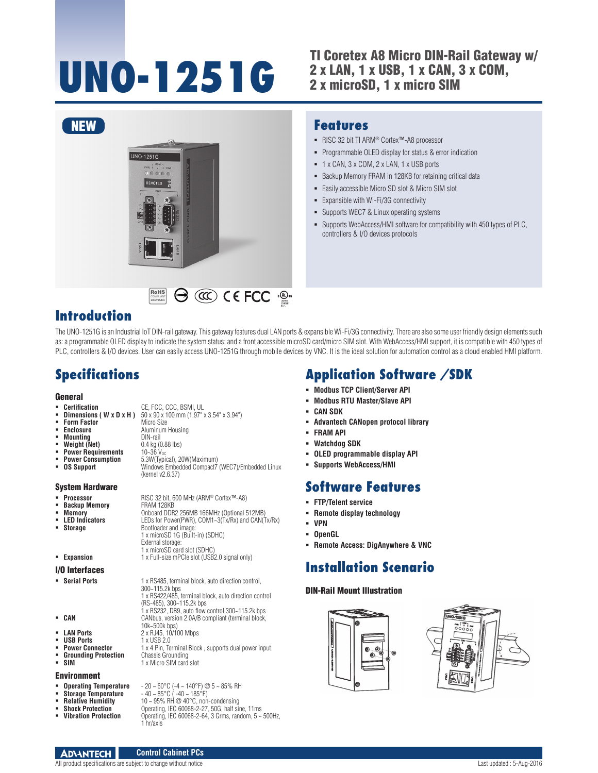## **UNO-1251G** TI Coretex A8 Micro DIN-Rail Gateway w/<br>
2 x LAN, 1 x USB, 1 x CAN, 3 x COM, 2 x LAN, 1 x USB, 1 x CAN, 3 x COM, 2 x microSD, 1 x micro SIM



 $\Theta$  (contribute  $\Theta$  and  $\Theta$  and  $\Theta$  and  $\Theta$  and  $\Theta$  and  $\Theta$  and  $\Theta$  and  $\Theta$  and  $\Theta$  and  $\Theta$  and  $\Theta$  and  $\Theta$  and  $\Theta$  and  $\Theta$  and  $\Theta$  and  $\Theta$  and  $\Theta$  and  $\Theta$  and  $\Theta$  and  $\Theta$  and  $\Theta$  and  $\Theta$  and  $\Theta$  a

## **Features**

- RISC 32 bit TI ARM® Cortex™-A8 processor
- **Programmable OLED display for status & error indication**
- 1 x CAN, 3 x COM, 2 x LAN, 1 x USB ports
- **Backup Memory FRAM in 128KB for retaining critical data**
- **Easily accessible Micro SD slot & Micro SIM slot**
- Expansible with Wi-Fi/3G connectivity
- Supports WEC7 & Linux operating systems
- Supports WebAccess/HMI software for compatibility with 450 types of PLC, controllers & I/O devices protocols

## **Introduction**

The UNO-1251G is an Industrial IoT DIN-rail gateway. This gateway features dual LAN ports & expansible Wi-Fi/3G connectivity. There are also some user friendly design elements such as: a programmable OLED display to indicate the system status; and a front accessible microSD card/micro SIM slot. With WebAccess/HMI support, it is compatible with 450 types of PLC, controllers & I/O devices. User can easily access UNO-1251G through mobile devices by VNC. It is the ideal solution for automation control as a cloud enabled HMI platform.

# **Specifications**

### **General**

- **Certification CE, FCC, CCC, BSMI, UL**
- **Dimensions ( W x D x H )**  $50 \times 90 \times 100$  mm (1.97" x 3.54" x 3.94")<br>**Form Factor** Micro Size
- **Form Factor**<br>**Enclosure**
- **Mounting<br>Weight (Net)**

 **Enclosure** Aluminum Housing 0.4 kg (0.88 lbs)<br>10~36 V<sub>DC</sub>

- 
- **Power Requirements**<br>Power Consumption
- 

 **Power Consumption** 5.3W(Typical), 20W(Maximum) **OS Support** Windows Embedded Compact7 (WEC7)/Embedded Linux (kernel v2.6.37)

RoHS **COMPLIANT** 2002/95/EC

#### System Hardware

- 
- **Backup Memory<br>Memory**
- 
- 
- 
- 

#### I/O Interfaces

- 
- 300~115.2k bps **CAN** CANbus, version 2.0A/B compliant (terminal block,
	- -
- **USB Ports 1** x USB 2.0<br>**Power Connector 1** x 4 Pin. Terms
- **Grounding Protection**<br>SIM
- Environment

- Operating Temperature<br>Storage Temperature<br>Relative Humidity
- 
- 
- 

# **Application Software /SDK**

- **Modbus TCP Client/Server API**
- **Modbus RTU Master/Slave API**
- **CAN SDK**
- **Advantech CANopen protocol library**
- **FRAM API**
- **Watchdog SDK**
- **OLED programmable display API**
- **Supports WebAccess/HMI**

## **Software Features**

- **FTP/Telent service**
- **Remote display technology**
- **VPN**
- **OpenGL**
- **Remote Access: DigAnywhere & VNC**

# **Installation Scenario**

### DIN-Rail Mount Illustration



- **Processor RISC 32 bit, 600 MHz (ARM® Cortex™-A8)**<br>■ **Backup Memory** FRAM 128KB **Memory CONDOCALGO DELA CONTRACT DEPTITION OF A LEDS for Power(PWR), COM1-3(Tx/Rx) and CAN(TN) LED Indicators** LEDs for Power(PWR), COM1~3(Tx/Rx) and CAN(Tx/Rx)<br>**Storage** Bootloader and image: **Bootloader and image** 1 x microSD 1G (Built-in) (SDHC)
- External storage: 1 x microSD card slot (SDHC) **Expansion Expansion 1** x Full-size mPCIe slot (USB2.0 signal only)
	-
	-

 **Serial Ports** 1 x RS485, terminal block, auto direction control, 1 x RS422/485, terminal block, auto direction control (RS-485), 300~115.2k bps 1 x RS232, DB9, auto flow control 300~115.2k bps

- 
- 10k~500k bps)
- **LAN Ports** 2 x RJ45, 10/100 Mbps<br> **USB Ports** 1 x USB 2 0
	- **Power Connector** 1 x 4 Pin, Terminal Block , supports dual power input
	-
	-
	- **Chassis Grounding<br>1 x Micro SIM card slot**

- 
- **Operating Temperature**  20 ~ 60°C (-4 ~ 140°F) @ 5 ~ 85% RH
- **Relative Humidity** 10 ~ 95% RH @ 40°C, non-condensing<br> **Shock Protection** Operating, IEC 60068-2-27, 50G, half sin

## **Shock Protection C** Operating, IEC 60068-2-27, 50G, half sine, 11ms<br>**Vibration Protection Condition December 10068-2-64, 3 Grms, random, 5** ~

 **Vibration Protection** Operating, IEC 60068-2-64, 3 Grms, random, 5 ~ 500Hz, 1 hr/axis